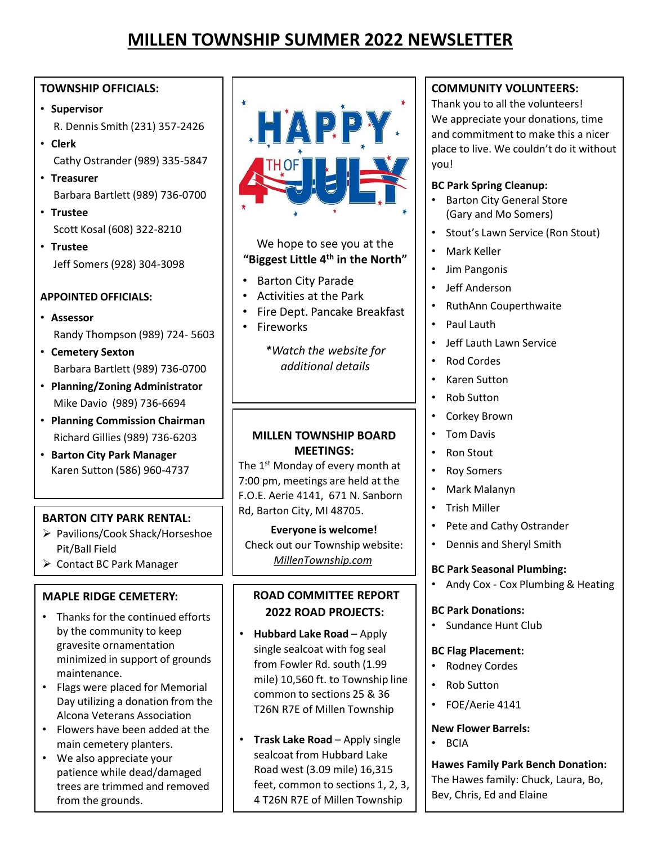# **MILLEN TOWNSHIP SUMMER 2022 NEWSLETTER**

# **TOWNSHIP OFFICIALS:**

- **Supervisor**  R. Dennis Smith (231) 357-2426
- **Clerk**  Cathy Ostrander (989) 335-5847
- **Treasurer** Barbara Bartlett (989) 736-0700
- **Trustee** Scott Kosal (608) 322-8210
- **Trustee** Jeff Somers (928) 304-3098

#### **APPOINTED OFFICIALS:**

- **Assessor** Randy Thompson (989) 724- 5603
- **Cemetery Sexton**  Barbara Bartlett (989) 736-0700
- **Planning/Zoning Administrator**  Mike Davio (989) 736-6694
- **Planning Commission Chairman** Richard Gillies (989) 736-6203
- **Barton City Park Manager**  Karen Sutton (586) 960-4737

# **BARTON CITY PARK RENTAL:**

- ▶ Pavilions/Cook Shack/Horseshoe Pit/Ball Field
- $\triangleright$  Contact BC Park Manager

# **MAPLE RIDGE CEMETERY:**

- Thanks for the continued efforts by the community to keep gravesite ornamentation minimized in support of grounds maintenance.
- Flags were placed for Memorial Day utilizing a donation from the Alcona Veterans Association
- Flowers have been added at the main cemetery planters.
- We also appreciate your patience while dead/damaged trees are trimmed and removed from the grounds.



## We hope to see you at the **"Biggest Little 4th in the North"**

- Barton City Parade
- Activities at the Park
- Fire Dept. Pancake Breakfast
- Fireworks

*\*Watch the website for additional details*

# **MILLEN TOWNSHIP BOARD MEETINGS:**

The 1<sup>st</sup> Monday of every month at 7:00 pm, meetings are held at the F.O.E. Aerie 4141, 671 N. Sanborn Rd, Barton City, MI 48705.

**Everyone is welcome!** Check out our Township website: *MillenTownship.com*

# **ROAD COMMITTEE REPORT 2022 ROAD PROJECTS:**

- **Hubbard Lake Road**  Apply single sealcoat with fog seal from Fowler Rd. south (1.99 mile) 10,560 ft. to Township line common to sections 25 & 36 T26N R7E of Millen Township
- **Trask Lake Road**  Apply single sealcoat from Hubbard Lake Road west (3.09 mile) 16,315 feet, common to sections 1, 2, 3, 4 T26N R7E of Millen Township

# **COMMUNITY VOLUNTEERS:**

Thank you to all the volunteers! We appreciate your donations, time and commitment to make this a nicer place to live. We couldn't do it without you!

## **BC Park Spring Cleanup:**

- Barton City General Store (Gary and Mo Somers)
- Stout's Lawn Service (Ron Stout)
- Mark Keller
- Jim Pangonis
- Jeff Anderson
- RuthAnn Couperthwaite
- Paul Lauth
- Jeff Lauth Lawn Service
- Rod Cordes
- Karen Sutton
- Rob Sutton
- Corkey Brown
- Tom Davis
- Ron Stout
- **Roy Somers**
- Mark Malanyn
- Trish Miller
- Pete and Cathy Ostrander
- Dennis and Sheryl Smith

# **BC Park Seasonal Plumbing:**

• Andy Cox - Cox Plumbing & Heating

#### **BC Park Donations:**

• Sundance Hunt Club

#### **BC Flag Placement:**

- Rodney Cordes
- Rob Sutton
- FOE/Aerie 4141

# **New Flower Barrels:**

• BCIA

**Hawes Family Park Bench Donation:**  The Hawes family: Chuck, Laura, Bo, Bev, Chris, Ed and Elaine